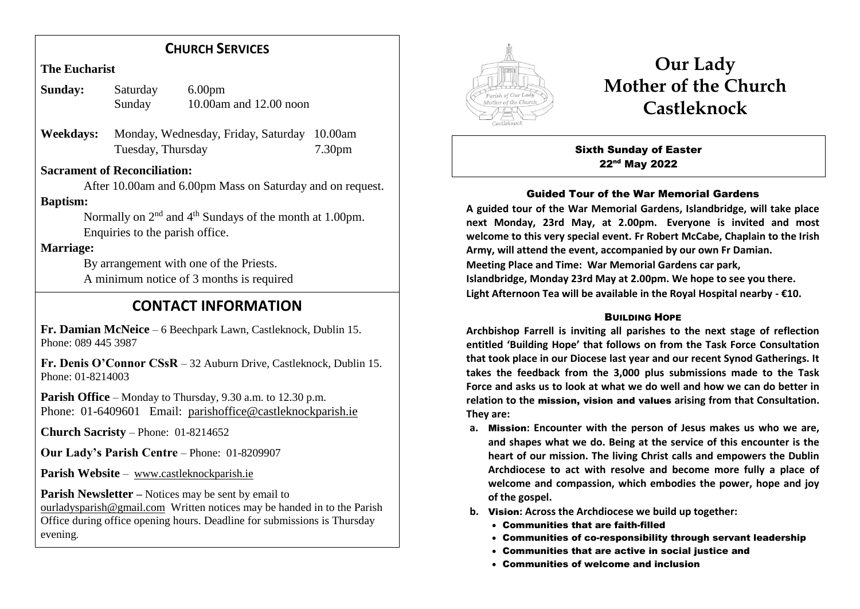## **CHURCH SERVICES**

**The Eucharist**

| Sunday: | Saturday | 6.00 <sub>pm</sub>     |
|---------|----------|------------------------|
|         | Sunday   | 10.00am and 12.00 noon |

**Weekdays:** Monday, Wednesday, Friday, Saturday 10.00am Tuesday, Thursday 7.30pm

### **Sacrament of Reconciliation:**

 After 10.00am and 6.00pm Mass on Saturday and on request. **Baptism:**

Normally on  $2<sup>nd</sup>$  and  $4<sup>th</sup>$  Sundays of the month at 1.00pm. Enquiries to the parish office.

## **Marriage:**

 By arrangement with one of the Priests. A minimum notice of 3 months is required

# **CONTACT INFORMATION**

**Fr. Damian McNeice** – 6 Beechpark Lawn, Castleknock, Dublin 15. Phone: 089 445 3987

**Fr. Denis O'Connor CSsR** – 32 Auburn Drive, Castleknock, Dublin 15. Phone: 01-8214003

**Parish Office** – Monday to Thursday, 9.30 a.m. to 12.30 p.m. Phone: 01-6409601 Email: parishoffice@castleknockparish.ie

**Church Sacristy** – Phone: 01-8214652

**Our Lady's Parish Centre** – Phone: 01-8209907

**Parish Website** – www.castleknockparish.ie

**Parish Newsletter –** Notices may be sent by email to ourladysparish@gmail.com Written notices may be handed in to the Parish Office during office opening hours. Deadline for submissions is Thursday evening.



# **Our Lady Mother of the Church Castleknock**

Sixth Sunday of Easter 22nd May 2022

#### Guided Tour of the War Memorial Gardens

**A guided tour of the War Memorial Gardens, Islandbridge, will take place next Monday, 23rd May, at 2.00pm. Everyone is invited and most welcome to this very special event. Fr Robert McCabe, Chaplain to the Irish Army, will attend the event, accompanied by our own Fr Damian. Meeting Place and Time: War Memorial Gardens car park, Islandbridge, Monday 23rd May at 2.00pm. We hope to see you there. Light Afternoon Tea will be available in the Royal Hospital nearby - €10.**

#### **BUILDING HOPE**

**Archbishop Farrell is inviting all parishes to the next stage of reflection entitled 'Building Hope' that follows on from the Task Force Consultation that took place in our Diocese last year and our recent Synod Gatherings. It takes the feedback from the 3,000 plus submissions made to the Task Force and asks us to look at what we do well and how we can do better in relation to the** mission, vision and values **arising from that Consultation. They are:**

- **a.** Mission**: Encounter with the person of Jesus makes us who we are, and shapes what we do. Being at the service of this encounter is the heart of our mission. The living Christ calls and empowers the Dublin Archdiocese to act with resolve and become more fully a place of welcome and compassion, which embodies the power, hope and joy of the gospel.**
- **b.** Vision**: Across the Archdiocese we build up together:**
	- Communities that are faith-filled
	- Communities of co-responsibility through servant leadership
	- Communities that are active in social justice and
	- Communities of welcome and inclusion